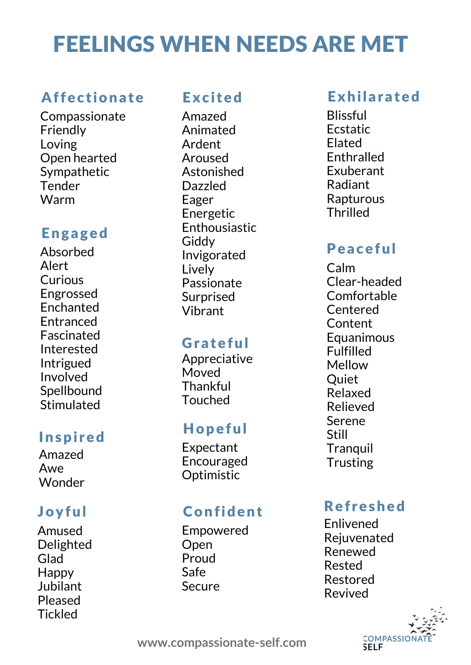# **FEELINGS WHEN NEEDS ARE MET**

## **Affectionate**

Compassionate Friendly Loving Open hearted Sympathetic Tender Warm

### **Engaged**

Absorbed Alert Curious Engrossed Enchanted Entranced Fascinated Interested Intrigued Involved Spellbound Stimulated

## **Inspired**

Amazed Awe Wonder

## Joyful

Amused Delighted Glad Happy Jubilant Pleased **Tickled** 

#### **Excited**

Amazed Animated Ardent Aroused Astonished **Dazzled** Eager Energetic Enthousiastic Giddy Invigorated Lively Passionate Surprised Vihrant

### Grateful

Appreciative Moved Thankful **Touched** 

## **Hopeful**

Expectant Encouraged Optimistic

## Confident

Empowered Open Proud Safe Secure

## **Exhilarated**

**Blissful** Ecstatic **Flated** Enthralled Exuberant Radiant Rapturous **Thrilled** 

## **Peaceful**

 $Calm$ Clear-headed Comfortable Centered Content Equanimous **Fulfilled Mellow** Quiet Relaxed Relieved Serene Still Tranguil **Trusting** 

## **Refreshed**

Enlivened Rejuvenated Renewed Rested Restored Revived